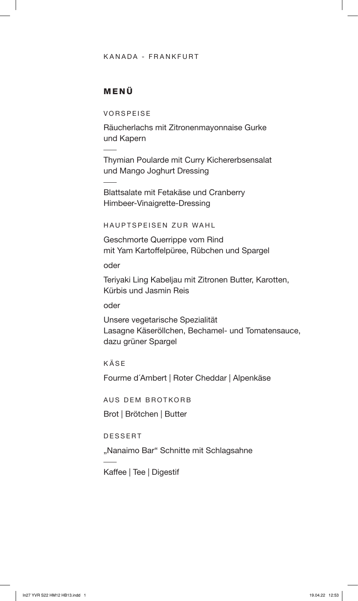#### KANADA - FRANKFURT

### MENÜ

VORSPEISE

Räucherlachs mit Zitronenmayonnaise Gurke und Kapern

Thymian Poularde mit Curry Kichererbsensalat und Mango Joghurt Dressing

Blattsalate mit Fetakäse und Cranberry Himbeer-Vinaigrette-Dressing

HAUPTSPEISEN ZUR WAHL

Geschmorte Querrippe vom Rind mit Yam Kartoffelpüree, Rübchen und Spargel

oder

Teriyaki Ling Kabeljau mit Zitronen Butter, Karotten, Kürbis und Jasmin Reis

oder

Unsere vegetarische Spezialität Lasagne Käseröllchen, Bechamel- und Tomatensauce, dazu grüner Spargel

KÄSE

Fourme d´Ambert | Roter Cheddar | Alpenkäse

AUS DEM BROTKORB

Brot | Brötchen | Butter

DESSERT

"Nanaimo Bar" Schnitte mit Schlagsahne

Kaffee | Tee | Digestif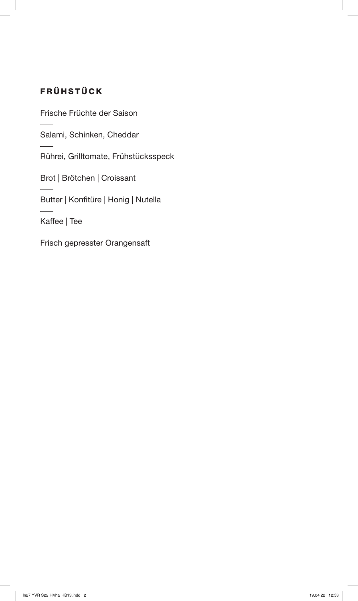# FRÜHSTÜCK

Frische Früchte der Saison

Salami, Schinken, Cheddar

Rührei, Grilltomate, Frühstücksspeck

Brot | Brötchen | Croissant

Butter | Konfitüre | Honig | Nutella

Kaffee | Tee

Frisch gepresster Orangensaft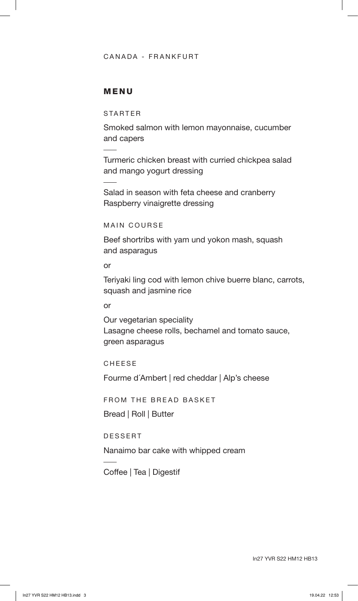#### CANADA - FRANKFURT

#### MENU

STARTER

Smoked salmon with lemon mayonnaise, cucumber and capers

Turmeric chicken breast with curried chickpea salad and mango yogurt dressing

Salad in season with feta cheese and cranberry Raspberry vinaigrette dressing

MAIN COURSE

Beef shortribs with yam und yokon mash, squash and asparagus

or

Teriyaki ling cod with lemon chive buerre blanc, carrots, squash and jasmine rice

or

Our vegetarian speciality Lasagne cheese rolls, bechamel and tomato sauce, green asparagus

CHEESE

Fourme d´Ambert | red cheddar | Alp's cheese

FROM THE BREAD BASKET

Bread | Roll | Butter

DESSERT

Nanaimo bar cake with whipped cream

Coffee | Tea | Digestif

In27 YVR S22 HM12 HB13